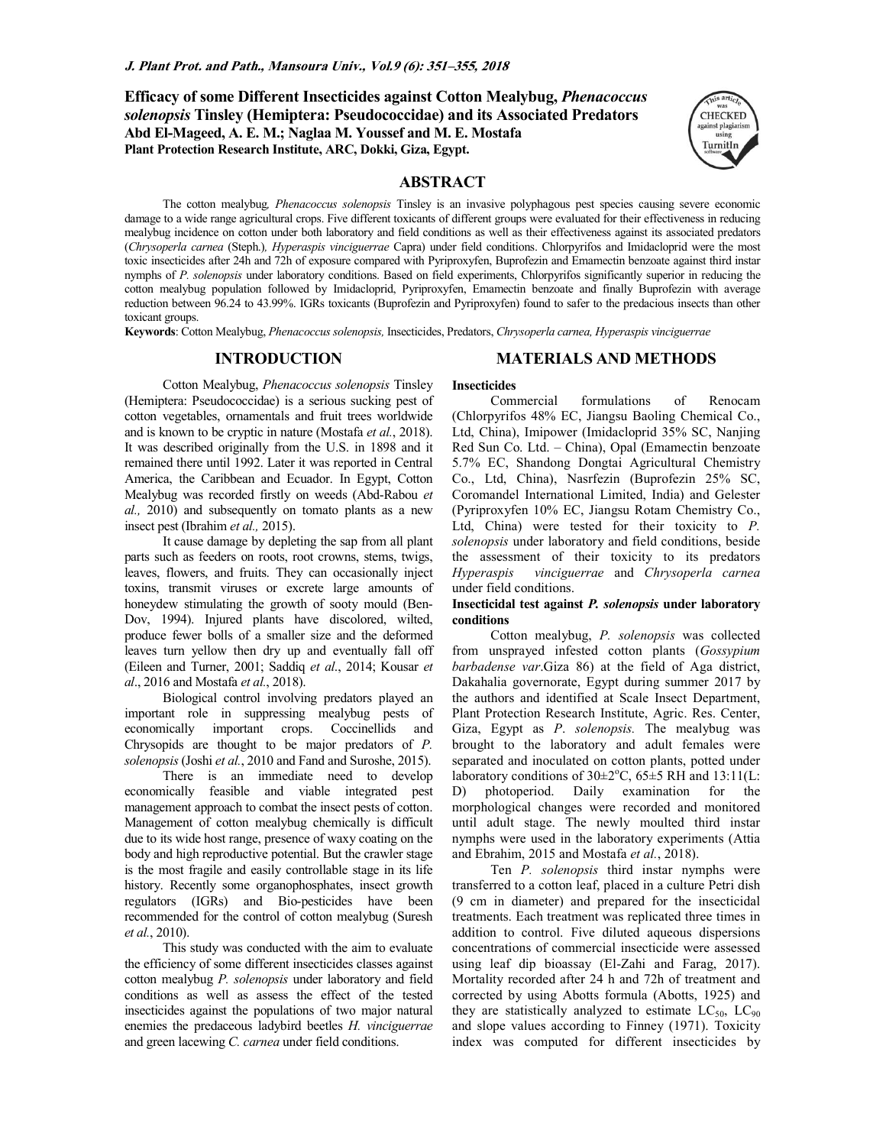**Efficacy of some Different Insecticides against Cotton Mealybug,** *Phenacoccus solenopsis* **Tinsley (Hemiptera: Pseudococcidae) and its Associated Predators Abd El-Mageed, A. E. M.; Naglaa M. Youssef and M. E. Mostafa Plant Protection Research Institute, ARC, Dokki, Giza, Egypt.** 



### **ABSTRACT**

The cotton mealybug*, Phenacoccus solenopsis* Tinsley is an invasive polyphagous pest species causing severe economic damage to a wide range agricultural crops. Five different toxicants of different groups were evaluated for their effectiveness in reducing mealybug incidence on cotton under both laboratory and field conditions as well as their effectiveness against its associated predators (*Chrysoperla carnea* (Steph.)*, Hyperaspis vinciguerrae* Capra) under field conditions. Chlorpyrifos and Imidacloprid were the most toxic insecticides after 24h and 72h of exposure compared with Pyriproxyfen, Buprofezin and Emamectin benzoate against third instar nymphs of *P. solenopsis* under laboratory conditions. Based on field experiments, Chlorpyrifos significantly superior in reducing the cotton mealybug population followed by Imidacloprid, Pyriproxyfen, Emamectin benzoate and finally Buprofezin with average reduction between 96.24 to 43.99%. IGRs toxicants (Buprofezin and Pyriproxyfen) found to safer to the predacious insects than other toxicant groups.

**Insecticides** 

**Keywords**: Cotton Mealybug, *Phenacoccus solenopsis,* Insecticides, Predators, *Chrysoperla carnea, Hyperaspis vinciguerrae* 

## **INTRODUCTION**

### **MATERIALS AND METHODS**

Cotton Mealybug, *Phenacoccus solenopsis* Tinsley (Hemiptera: Pseudococcidae) is a serious sucking pest of cotton vegetables, ornamentals and fruit trees worldwide and is known to be cryptic in nature (Mostafa *et al.*, 2018). It was described originally from the U.S. in 1898 and it remained there until 1992. Later it was reported in Central America, the Caribbean and Ecuador. In Egypt, Cotton Mealybug was recorded firstly on weeds (Abd-Rabou *et al.,* 2010) and subsequently on tomato plants as a new insect pest (Ibrahim *et al.,* 2015).

It cause damage by depleting the sap from all plant parts such as feeders on roots, root crowns, stems, twigs, leaves, flowers, and fruits. They can occasionally inject toxins, transmit viruses or excrete large amounts of honeydew stimulating the growth of sooty mould (Ben-Dov, 1994). Injured plants have discolored, wilted, produce fewer bolls of a smaller size and the deformed leaves turn yellow then dry up and eventually fall off (Eileen and Turner, 2001; Saddiq *et al*., 2014; Kousar *et al*., 2016 and Mostafa *et al.*, 2018).

Biological control involving predators played an important role in suppressing mealybug pests of economically important crops. Coccinellids and Chrysopids are thought to be major predators of *P. solenopsis* (Joshi *et al.*, 2010 and Fand and Suroshe, 2015).

There is an immediate need to develop economically feasible and viable integrated pest management approach to combat the insect pests of cotton. Management of cotton mealybug chemically is difficult due to its wide host range, presence of waxy coating on the body and high reproductive potential. But the crawler stage is the most fragile and easily controllable stage in its life history. Recently some organophosphates, insect growth regulators (IGRs) and Bio-pesticides have been recommended for the control of cotton mealybug (Suresh *et al.*, 2010).

This study was conducted with the aim to evaluate the efficiency of some different insecticides classes against cotton mealybug *P. solenopsis* under laboratory and field conditions as well as assess the effect of the tested insecticides against the populations of two major natural enemies the predaceous ladybird beetles *H. vinciguerrae*  and green lacewing *C. carnea* under field conditions.

Commercial formulations of Renocam (Chlorpyrifos 48% EC, Jiangsu Baoling Chemical Co., Ltd, China), Imipower (Imidacloprid 35% SC, Nanjing Red Sun Co. Ltd. – China), Opal (Emamectin benzoate 5.7% EC, Shandong Dongtai Agricultural Chemistry Co., Ltd, China), Nasrfezin (Buprofezin 25% SC, Coromandel International Limited, India) and Gelester (Pyriproxyfen 10% EC, Jiangsu Rotam Chemistry Co., Ltd, China) were tested for their toxicity to *P. solenopsis* under laboratory and field conditions, beside the assessment of their toxicity to its predators *Hyperaspis vinciguerrae* and *Chrysoperla carnea*  under field conditions.

### **Insecticidal test against** *P. solenopsis* **under laboratory conditions**

Cotton mealybug, *P. solenopsis* was collected from unsprayed infested cotton plants (*Gossypium barbadense var*.Giza 86) at the field of Aga district, Dakahalia governorate, Egypt during summer 2017 by the authors and identified at Scale Insect Department, Plant Protection Research Institute, Agric. Res. Center, Giza, Egypt as *P*. *solenopsis.* The mealybug was brought to the laboratory and adult females were separated and inoculated on cotton plants, potted under laboratory conditions of  $30\pm2\degree C$ ,  $65\pm5$  RH and  $13:11(L)$ : D) photoperiod. Daily examination for the morphological changes were recorded and monitored until adult stage. The newly moulted third instar nymphs were used in the laboratory experiments (Attia and Ebrahim, 2015 and Mostafa *et al.*, 2018).

Ten *P. solenopsis* third instar nymphs were transferred to a cotton leaf, placed in a culture Petri dish (9 cm in diameter) and prepared for the insecticidal treatments. Each treatment was replicated three times in addition to control. Five diluted aqueous dispersions concentrations of commercial insecticide were assessed using leaf dip bioassay (El-Zahi and Farag, 2017). Mortality recorded after 24 h and 72h of treatment and corrected by using Abotts formula (Abotts, 1925) and they are statistically analyzed to estimate  $LC_{50}$ ,  $LC_{90}$ and slope values according to Finney (1971). Toxicity index was computed for different insecticides by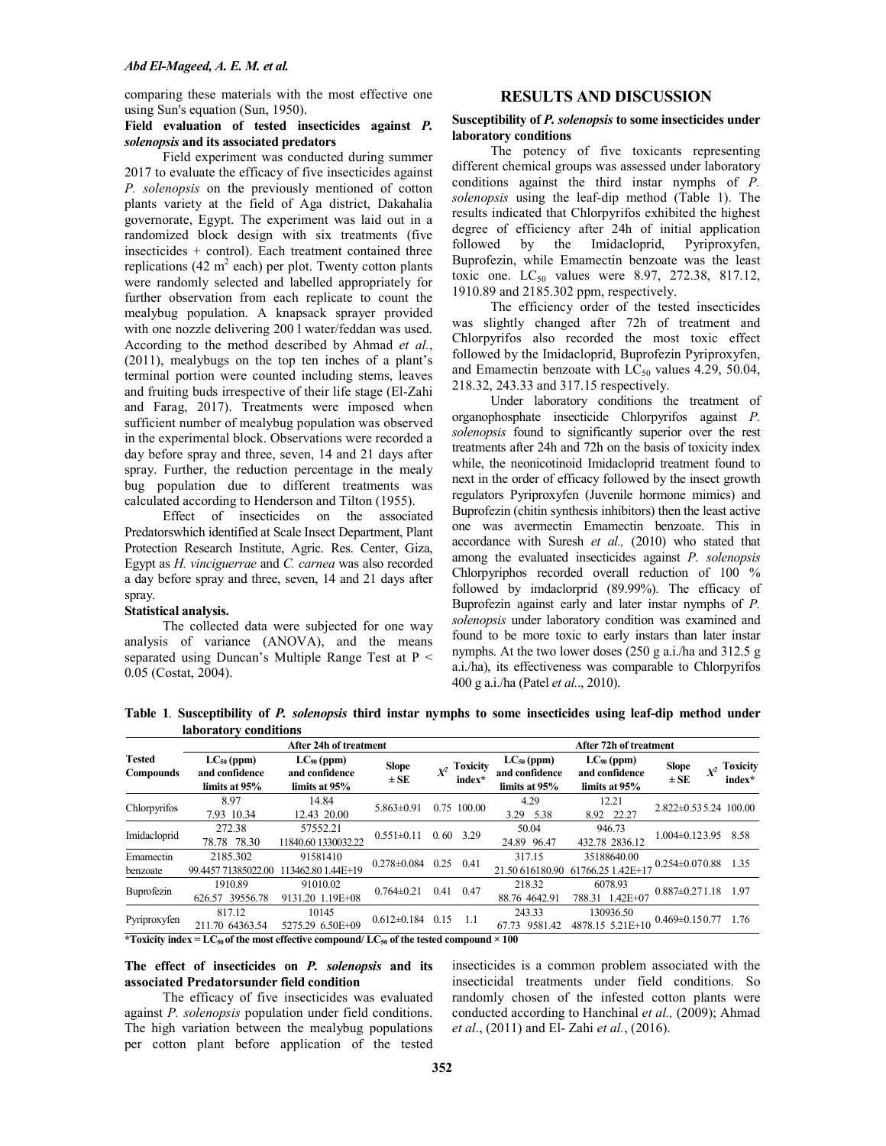comparing these materials with the most effective one using Sun's equation (Sun, 1950).

### **RESULTS AND DISCUSSION**

### **Field evaluation of tested insecticides against** *P. solenopsis* **and its associated predators**

Field experiment was conducted during summer 2017 to evaluate the efficacy of five insecticides against *P. solenopsis* on the previously mentioned of cotton plants variety at the field of Aga district, Dakahalia governorate, Egypt. The experiment was laid out in a randomized block design with six treatments (five insecticides + control). Each treatment contained three replications (42  $m^2$  each) per plot. Twenty cotton plants were randomly selected and labelled appropriately for further observation from each replicate to count the mealybug population. A knapsack sprayer provided with one nozzle delivering 200 l water/feddan was used. According to the method described by Ahmad *et al.*, (2011), mealybugs on the top ten inches of a plant's terminal portion were counted including stems, leaves and fruiting buds irrespective of their life stage (El-Zahi and Farag, 2017). Treatments were imposed when sufficient number of mealybug population was observed in the experimental block. Observations were recorded a day before spray and three, seven, 14 and 21 days after spray. Further, the reduction percentage in the mealy bug population due to different treatments was calculated according to Henderson and Tilton (1955).

Effect of insecticides on the associated Predatorswhich identified at Scale Insect Department, Plant Protection Research Institute, Agric. Res. Center, Giza, Egypt as *H. vinciguerrae* and *C. carnea* was also recorded a day before spray and three, seven, 14 and 21 days after spray.

### **Statistical analysis.**

The collected data were subjected for one way analysis of variance (ANOVA), and the means separated using Duncan's Multiple Range Test at P < 0.05 (Costat, 2004).

### **Susceptibility of** *P. solenopsis* **to some insecticides under laboratory conditions**

The potency of five toxicants representing different chemical groups was assessed under laboratory conditions against the third instar nymphs of *P. solenopsis* using the leaf-dip method (Table 1). The results indicated that Chlorpyrifos exhibited the highest degree of efficiency after 24h of initial application followed by the Imidacloprid, Pyriproxyfen, Buprofezin, while Emamectin benzoate was the least toxic one.  $LC_{50}$  values were 8.97, 272.38, 817.12, 1910.89 and 2185.302 ppm, respectively.

The efficiency order of the tested insecticides was slightly changed after 72h of treatment and Chlorpyrifos also recorded the most toxic effect followed by the Imidacloprid, Buprofezin Pyriproxyfen, and Emamectin benzoate with  $LC_{50}$  values 4.29, 50.04, 218.32, 243.33 and 317.15 respectively.

Under laboratory conditions the treatment of organophosphate insecticide Chlorpyrifos against *P. solenopsis* found to significantly superior over the rest treatments after 24h and 72h on the basis of toxicity index while, the neonicotinoid Imidacloprid treatment found to next in the order of efficacy followed by the insect growth regulators Pyriproxyfen (Juvenile hormone mimics) and Buprofezin (chitin synthesis inhibitors) then the least active one was avermectin Emamectin benzoate. This in accordance with Suresh *et al.,* (2010) who stated that among the evaluated insecticides against *P. solenopsis* Chlorpyriphos recorded overall reduction of 100 % followed by imdaclorprid (89.99%). The efficacy of Buprofezin against early and later instar nymphs of *P. solenopsis* under laboratory condition was examined and found to be more toxic to early instars than later instar nymphs. At the two lower doses (250 g a.i./ha and 312.5 g a.i./ha), its effectiveness was comparable to Chlorpyrifos 400 g a.i./ha (Patel *et al.*., 2010).

**Table 1**. **Susceptibility of** *P. solenopsis* **third instar nymphs to some insecticides using leaf-dip method under laboratory conditions**

|                            |                                                                                                                         | After 24h of treatment                             | After 72h of treatment   |                |                           |                                                    |                                                    |                                   |  |                           |
|----------------------------|-------------------------------------------------------------------------------------------------------------------------|----------------------------------------------------|--------------------------|----------------|---------------------------|----------------------------------------------------|----------------------------------------------------|-----------------------------------|--|---------------------------|
| <b>Tested</b><br>Compounds | $LC_{50}$ (ppm)<br>and confidence<br>limits at 95%                                                                      | $LC_{90}$ (ppm)<br>and confidence<br>limits at 95% | <b>Slope</b><br>$\pm$ SE | $\mathbf{x}^2$ | <b>Toxicity</b><br>index* | $LC_{50}$ (ppm)<br>and confidence<br>limits at 95% | $LC_{90}$ (ppm)<br>and confidence<br>limits at 95% | <b>Slope</b><br>$X^2$<br>$\pm$ SE |  | <b>Toxicity</b><br>index* |
| Chlorpyrifos               | 8.97<br>7.93 10.34                                                                                                      | 14.84<br>12.43 20.00                               | $5.863 \pm 0.91$         |                | 0.75 100.00               | 4.29<br>3.29 5.38                                  | 12.21<br>8.92 22.27                                | $2.822 \pm 0.535.24$ 100.00       |  |                           |
| Imidacloprid               | 272.38<br>78.78 78.30                                                                                                   | 57552.21<br>11840.60 1330032.22                    | $0.551 \pm 0.11$         | 0.60           | 3.29                      | 50.04<br>24.89 96.47                               | 946.73<br>432.78 2836.12                           | $1.004 \pm 0.123.95$              |  | 8.58                      |
| Emamectin<br>benzoate      | 2185.302<br>99.4457 71385022.00                                                                                         | 91581410<br>113462.80 1.44E+19                     | $0.278 \pm 0.084$        | 0.25           | 0.41                      | 317.15<br>21.50 616180.90                          | 35188640.00<br>61766.25 1.42E+17                   | $0.254 \pm 0.070.88$ 1.35         |  |                           |
| Buprofezin                 | 1910.89<br>626.57 39556.78                                                                                              | 91010.02<br>9131.20 1.19E+08                       | $0.764 \pm 0.21$         | 0.41           | 0.47                      | 218.32<br>88.76 4642.91                            | 6078.93<br>$1.42E + 07$<br>788.31                  | $0.887 \pm 0.271.18$              |  | 1.97                      |
| Pyriproxyfen               | 817.12<br>211.70 64363.54                                                                                               | 10145<br>5275.29 6.50E+09                          | $0.612 \pm 0.184$        | 0.15           | -1.1                      | 243.33<br>9581.42<br>67.73                         | 130936.50<br>4878.15 5.21E+10                      | $0.469 \pm 0.150.77$              |  | 1.76                      |
|                            | *Toxicity index = LC <sub>50</sub> of the most effective compound/ LC <sub>50</sub> of the tested compound $\times$ 100 |                                                    |                          |                |                           |                                                    |                                                    |                                   |  |                           |

**The effect of insecticides on** *P. solenopsis* **and its associated Predatorsunder field condition** 

The efficacy of five insecticides was evaluated against *P. solenopsis* population under field conditions. The high variation between the mealybug populations per cotton plant before application of the tested insecticides is a common problem associated with the insecticidal treatments under field conditions. So randomly chosen of the infested cotton plants were conducted according to Hanchinal *et al.,* (2009); Ahmad *et al*., (2011) and El- Zahi *et al.*, (2016).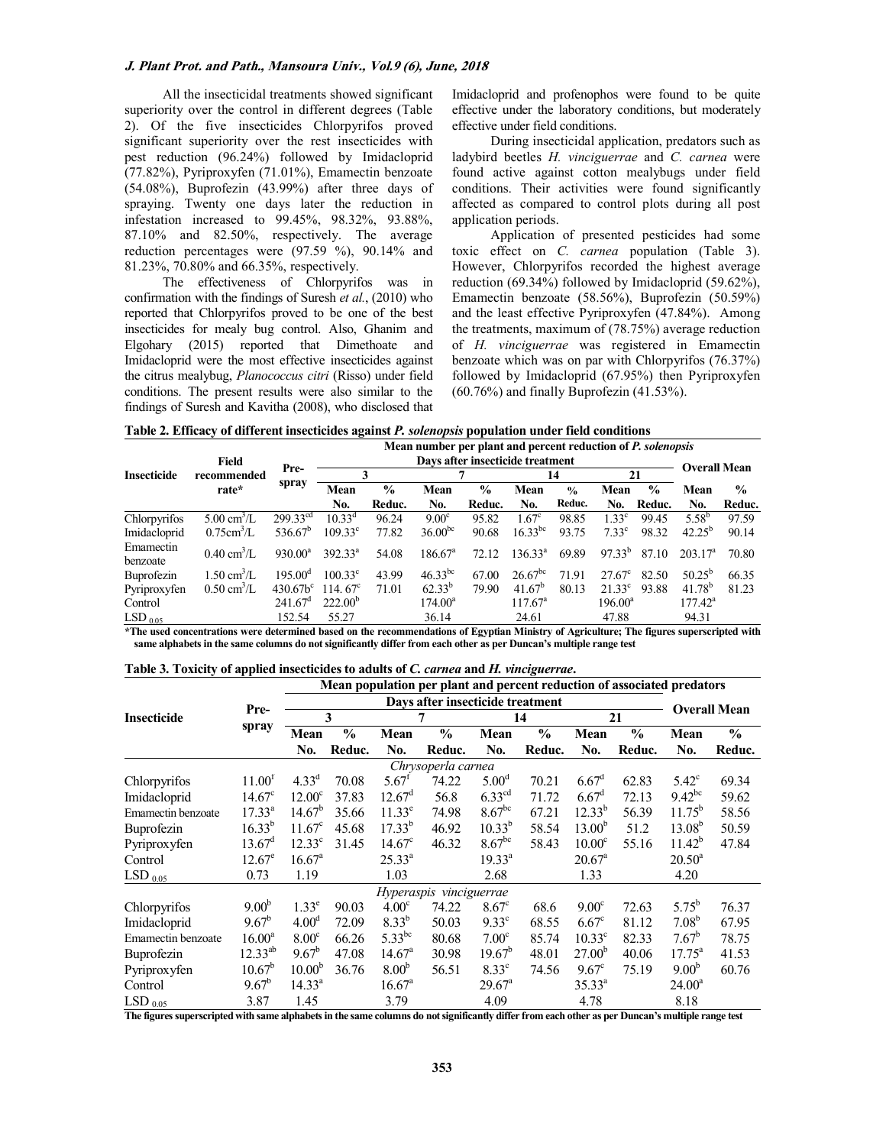#### **J. Plant Prot. and Path., Mansoura Univ., Vol.9 (6), June, 2018**

All the insecticidal treatments showed significant superiority over the control in different degrees (Table 2). Of the five insecticides Chlorpyrifos proved significant superiority over the rest insecticides with pest reduction (96.24%) followed by Imidacloprid (77.82%), Pyriproxyfen (71.01%), Emamectin benzoate (54.08%), Buprofezin (43.99%) after three days of spraying. Twenty one days later the reduction in infestation increased to 99.45%, 98.32%, 93.88%, 87.10% and 82.50%, respectively. The average reduction percentages were (97.59 %), 90.14% and 81.23%, 70.80% and 66.35%, respectively.

The effectiveness of Chlorpyrifos was in confirmation with the findings of Suresh *et al.*, (2010) who reported that Chlorpyrifos proved to be one of the best insecticides for mealy bug control. Also, Ghanim and Elgohary (2015) reported that Dimethoate and Imidacloprid were the most effective insecticides against the citrus mealybug, *Planococcus citri* (Risso) under field conditions. The present results were also similar to the findings of Suresh and Kavitha (2008), who disclosed that Imidacloprid and profenophos were found to be quite effective under the laboratory conditions, but moderately effective under field conditions.

During insecticidal application, predators such as ladybird beetles *H. vinciguerrae* and *C. carnea* were found active against cotton mealybugs under field conditions. Their activities were found significantly affected as compared to control plots during all post application periods.

Application of presented pesticides had some toxic effect on *C. carnea* population (Table 3). However, Chlorpyrifos recorded the highest average reduction (69.34%) followed by Imidacloprid (59.62%), Emamectin benzoate (58.56%), Buprofezin (50.59%) and the least effective Pyriproxyfen (47.84%). Among the treatments, maximum of (78.75%) average reduction of *H. vinciguerrae* was registered in Emamectin benzoate which was on par with Chlorpyrifos (76.37%) followed by Imidacloprid (67.95%) then Pyriproxyfen (60.76%) and finally Buprofezin (41.53%).

| Table 2. Efficacy of different insecticides against P. solenopsis population under field conditions |
|-----------------------------------------------------------------------------------------------------|
|-----------------------------------------------------------------------------------------------------|

| <b>Insecticide</b>    | Field<br>recommended         | Pre-                |                   | Mean number per plant and percent reduction of P. solenopsis |                   |               |                   |               |                   |               |                     |               |
|-----------------------|------------------------------|---------------------|-------------------|--------------------------------------------------------------|-------------------|---------------|-------------------|---------------|-------------------|---------------|---------------------|---------------|
|                       |                              |                     |                   |                                                              |                   |               | 14                |               | 21                |               | <b>Overall Mean</b> |               |
|                       | rate*                        | spray               | Mean              | $\frac{0}{0}$                                                | Mean              | $\frac{0}{0}$ | Mean              | $\frac{0}{0}$ | Mean              | $\frac{0}{0}$ | Mean                | $\frac{0}{0}$ |
|                       |                              |                     | No.               | Reduc.                                                       | No.               | Reduc.        | No.               | Reduc.        | No.               | Reduc.        | No.                 | Reduc.        |
| Chlorpyrifos          | $5.00 \text{ cm}^3/\text{L}$ | $299.33^{cd}$       | $10.33^d$         | 96.24                                                        | 9.00 <sup>c</sup> | 95.82         | 1.67 <sup>c</sup> | 98.85         | 1.33 <sup>c</sup> | 99.45         | $5.58^{b}$          | 97.59         |
| Imidacloprid          | $0.75$ cm <sup>3</sup> /L    | $536.67^b$          | $109.33^{\circ}$  | 77.82                                                        | $36.00^{bc}$      | 90.68         | $16.33^{bc}$      | 93.75         | $7.33^{\circ}$    | 98.32         | $42.25^{b}$         | 90.14         |
| Emamectin<br>benzoate | $0.40 \text{ cm}^3/\text{L}$ | $930.00^a$          | $392.33^{a}$      | 54.08                                                        | $186.67^{\circ}$  | 72.12         | $136.33^{a}$      | 69.89         | $97.33^{b}$       | 87.10         | 203.17 <sup>a</sup> | 70.80         |
| <b>Buprofezin</b>     | $1.50 \text{ cm}^3/\text{L}$ | 195.00 <sup>d</sup> | $100.33^{\circ}$  | 43.99                                                        | $46.33^{bc}$      | 67.00         | $26.67^{bc}$      | 71.91         | $27.67^{\circ}$   | 82.50         | $50.25^{b}$         | 66.35         |
| Pyriproxyfen          | $0.50 \text{ cm}^3/\text{L}$ | $430.67b^c$         | 114.67 $^{\circ}$ | 71.01                                                        | $62.33^{b}$       | 79.90         | $41.67^b$         | 80.13         | $21.33^{\circ}$   | 93.88         | $41.78^{b}$         | 81.23         |
| Control               |                              | $241.67^{\circ}$    | $222.00^{\circ}$  |                                                              | $174.00^a$        |               | $117.67^{\circ}$  |               | $196.00^a$        |               | $177.42^a$          |               |
| $LSD_{0.05}$          |                              | 152.54              | 55.27             |                                                              | 36.14             |               | 24.61             |               | 47.88             |               | 94.31               |               |

**\*The used concentrations were determined based on the recommendations of Egyptian Ministry of Agriculture; The figures superscripted with same alphabets in the same columns do not significantly differ from each other as per Duncan's multiple range test** 

|  |  | Table 3. Toxicity of applied insecticides to adults of C. carnea and H. vinciguerrae. |  |
|--|--|---------------------------------------------------------------------------------------|--|
|  |  |                                                                                       |  |

|                          |                    | Mean population per plant and percent reduction of associated predators |        |                     |                         |                      |               |                   |               |                     |        |  |  |
|--------------------------|--------------------|-------------------------------------------------------------------------|--------|---------------------|-------------------------|----------------------|---------------|-------------------|---------------|---------------------|--------|--|--|
|                          |                    | Days after insecticide treatment                                        |        |                     |                         |                      |               |                   |               |                     |        |  |  |
| <b>Insecticide</b>       | Pre-               | 3                                                                       |        | 7                   |                         | 14                   |               | 21                |               | <b>Overall Mean</b> |        |  |  |
|                          | spray              | Mean                                                                    | $\%$   | Mean                | $\%$                    | Mean                 | $\frac{0}{0}$ | Mean              | $\frac{6}{6}$ | Mean                | $\%$   |  |  |
|                          |                    | No.                                                                     | Reduc. | No.                 | Reduc.                  | No.                  | Reduc.        | No.               | Reduc.        | No.                 | Reduc. |  |  |
|                          |                    |                                                                         |        |                     | Chrysoperla carnea      |                      |               |                   |               |                     |        |  |  |
| Chlorpyrifos             | 11.00 <sup>f</sup> | $4.33^d$                                                                | 70.08  | $5.67$ <sup>I</sup> | 74.22                   | 5.00 <sup>d</sup>    | 70.21         | $6.67^{\rm d}$    | 62.83         | $5.42^{\circ}$      | 69.34  |  |  |
| Imidacloprid             | $14.67^{\circ}$    | $12.00^{\circ}$                                                         | 37.83  | $12.67^{\circ}$     | 56.8                    | $6.33^{\text{cd}}$   | 71.72         | $6.67^{\rm d}$    | 72.13         | $9.42^{bc}$         | 59.62  |  |  |
| Emamectin benzoate       | $17.33^{a}$        | $14.67^b$                                                               | 35.66  | $11.33^e$           | 74.98                   | $8.67$ <sup>bc</sup> | 67.21         | $12.33^{b}$       | 56.39         | $11.75^{b}$         | 58.56  |  |  |
| Buprofezin               | $16.33^{b}$        | $11.67^{\circ}$                                                         | 45.68  | $17.33^{b}$         | 46.92                   | $10.33^{b}$          | 58.54         | $13.00^{b}$       | 51.2          | $13.08^{b}$         | 50.59  |  |  |
| Pyriproxyfen             | $13.67^d$          | $12.33^{\circ}$                                                         | 31.45  | $14.67^{\circ}$     | 46.32                   | $8.67$ <sup>bc</sup> | 58.43         | $10.00^{\circ}$   | 55.16         | $11.42^{\circ}$     | 47.84  |  |  |
| Control                  | $12.67^e$          | 16.67 <sup>a</sup>                                                      |        | $25.33^{\circ}$     |                         | $19.33^{a}$          |               | $20.67^{\circ}$   |               | $20.50^a$           |        |  |  |
| $\mathrm{LSD}$ $_{0.05}$ | 0.73               | 1.19                                                                    |        | 1.03                |                         | 2.68                 |               | 1.33              |               | 4.20                |        |  |  |
|                          |                    |                                                                         |        |                     | Hyperaspis vinciguerrae |                      |               |                   |               |                     |        |  |  |
| Chlorpyrifos             | 9.00 <sup>b</sup>  | 1.33 <sup>e</sup>                                                       | 90.03  | 4.00 <sup>c</sup>   | 74.22                   | $8.67^{\circ}$       | 68.6          | 9.00 <sup>c</sup> | 72.63         | $5.75^{b}$          | 76.37  |  |  |
| Imidacloprid             | $9.67^b$           | 4.00 <sup>d</sup>                                                       | 72.09  | $8.33^{b}$          | 50.03                   | $9.33^{\circ}$       | 68.55         | $6.67^{\circ}$    | 81.12         | $7.08^{b}$          | 67.95  |  |  |
| Emamectin benzoate       | $16.00^a$          | 8.00 <sup>c</sup>                                                       | 66.26  | $5.33^{bc}$         | 80.68                   | 7.00 <sup>c</sup>    | 85.74         | $10.33^{\circ}$   | 82.33         | $7.67^b$            | 78.75  |  |  |
| Buprofezin               | $12.33^{ab}$       | $9.67^{\rm b}$                                                          | 47.08  | $14.67^{\circ}$     | 30.98                   | $19.67^{b}$          | 48.01         | $27.00^{p}$       | 40.06         | $17.75^{\circ}$     | 41.53  |  |  |
| Pyriproxyfen             | $10.67^{\rm b}$    | 10.00 <sup>b</sup>                                                      | 36.76  | 8.00 <sup>b</sup>   | 56.51                   | $8.33^{\circ}$       | 74.56         | $9.67^{\circ}$    | 75.19         | 9.00 <sup>b</sup>   | 60.76  |  |  |
| Control                  | $9.67^b$           | 14.33 <sup>a</sup>                                                      |        | $16.67^{\circ}$     |                         | $29.67^{\circ}$      |               | $35.33^{a}$       |               | $24.00^{\rm a}$     |        |  |  |
| LSD $_{0.05}$            | 3.87               | 1.45                                                                    |        | 3.79                |                         | 4.09                 |               | 4.78              |               | 8.18                |        |  |  |

**The figures superscripted with same alphabets in the same columns do not significantly differ from each other as per Duncan's multiple range test**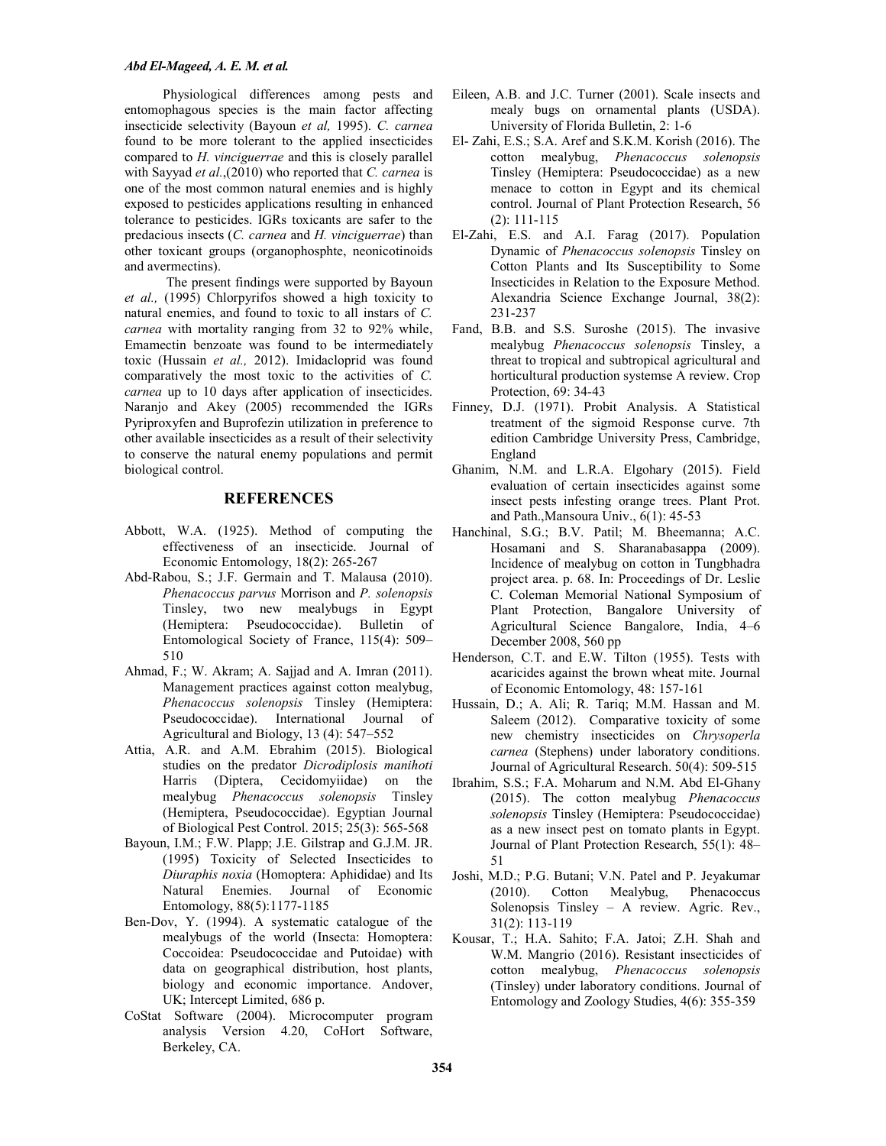Physiological differences among pests and entomophagous species is the main factor affecting insecticide selectivity (Bayoun *et al,* 1995). *C. carnea* found to be more tolerant to the applied insecticides compared to *H. vinciguerrae* and this is closely parallel with Sayyad *et al.*,(2010) who reported that *C. carnea* is one of the most common natural enemies and is highly exposed to pesticides applications resulting in enhanced tolerance to pesticides. IGRs toxicants are safer to the predacious insects (*C. carnea* and *H. vinciguerrae*) than other toxicant groups (organophosphte, neonicotinoids and avermectins).

 The present findings were supported by Bayoun *et al.,* (1995) Chlorpyrifos showed a high toxicity to natural enemies, and found to toxic to all instars of *C. carnea* with mortality ranging from 32 to 92% while, Emamectin benzoate was found to be intermediately toxic (Hussain *et al.,* 2012). Imidacloprid was found comparatively the most toxic to the activities of *C. carnea* up to 10 days after application of insecticides. Naranjo and Akey (2005) recommended the IGRs Pyriproxyfen and Buprofezin utilization in preference to other available insecticides as a result of their selectivity to conserve the natural enemy populations and permit biological control.

### **REFERENCES**

- Abbott, W.A. (1925). Method of computing the effectiveness of an insecticide. Journal of Economic Entomology, 18(2): 265-267
- Abd-Rabou, S.; J.F. Germain and T. Malausa (2010). *Phenacoccus parvus* Morrison and *P. solenopsis* Tinsley, two new mealybugs in Egypt (Hemiptera: Pseudococcidae). Bulletin of Entomological Society of France, 115(4): 509– 510
- Ahmad, F.; W. Akram; A. Sajjad and A. Imran (2011). Management practices against cotton mealybug, *Phenacoccus solenopsis* Tinsley (Hemiptera: Pseudococcidae). International Journal of Agricultural and Biology, 13 (4): 547–552
- Attia, A.R. and A.M. Ebrahim (2015). Biological studies on the predator *Dicrodiplosis manihoti* Harris (Diptera, Cecidomyiidae) on the mealybug *Phenacoccus solenopsis* Tinsley (Hemiptera, Pseudococcidae). Egyptian Journal of Biological Pest Control. 2015; 25(3): 565-568
- Bayoun, I.M.; F.W. Plapp; J.E. Gilstrap and G.J.M. JR. (1995) Toxicity of Selected Insecticides to *Diuraphis noxia* (Homoptera: Aphididae) and Its Natural Enemies. Journal of Economic Entomology, 88(5):1177-1185
- Ben-Dov, Y. (1994). A systematic catalogue of the mealybugs of the world (Insecta: Homoptera: Coccoidea: Pseudococcidae and Putoidae) with data on geographical distribution, host plants, biology and economic importance. Andover, UK; Intercept Limited, 686 p.
- CoStat Software (2004). Microcomputer program analysis Version 4.20, CoHort Software, Berkeley, CA.
- Eileen, A.B. and J.C. Turner (2001). Scale insects and mealy bugs on ornamental plants (USDA). University of Florida Bulletin, 2: 1-6
- El- Zahi, E.S.; S.A. Aref and S.K.M. Korish (2016). The cotton mealybug, *Phenacoccus solenopsis* Tinsley (Hemiptera: Pseudococcidae) as a new menace to cotton in Egypt and its chemical control. Journal of Plant Protection Research, 56 (2): 111-115
- El-Zahi, E.S. and A.I. Farag (2017). Population Dynamic of *Phenacoccus solenopsis* Tinsley on Cotton Plants and Its Susceptibility to Some Insecticides in Relation to the Exposure Method. Alexandria Science Exchange Journal, 38(2): 231-237
- Fand, B.B. and S.S. Suroshe (2015). The invasive mealybug *Phenacoccus solenopsis* Tinsley, a threat to tropical and subtropical agricultural and horticultural production systemse A review. Crop Protection, 69: 34-43
- Finney, D.J. (1971). Probit Analysis. A Statistical treatment of the sigmoid Response curve. 7th edition Cambridge University Press, Cambridge, England
- Ghanim, N.M. and L.R.A. Elgohary (2015). Field evaluation of certain insecticides against some insect pests infesting orange trees. Plant Prot. and Path.,Mansoura Univ., 6(1): 45-53
- Hanchinal, S.G.; B.V. Patil; M. Bheemanna; A.C. Hosamani and S. Sharanabasappa (2009). Incidence of mealybug on cotton in Tungbhadra project area. p. 68. In: Proceedings of Dr. Leslie C. Coleman Memorial National Symposium of Plant Protection, Bangalore University of Agricultural Science Bangalore, India, 4–6 December 2008, 560 pp
- Henderson, C.T. and E.W. Tilton (1955). Tests with acaricides against the brown wheat mite. Journal of Economic Entomology, 48: 157-161
- Hussain, D.; A. Ali; R. Tariq; M.M. Hassan and M. Saleem (2012). Comparative toxicity of some new chemistry insecticides on *Chrysoperla carnea* (Stephens) under laboratory conditions. Journal of Agricultural Research. 50(4): 509-515
- Ibrahim, S.S.; F.A. Moharum and N.M. Abd El-Ghany (2015). The cotton mealybug *Phenacoccus solenopsis* Tinsley (Hemiptera: Pseudococcidae) as a new insect pest on tomato plants in Egypt. Journal of Plant Protection Research, 55(1): 48– 51
- Joshi, M.D.; P.G. Butani; V.N. Patel and P. Jeyakumar (2010). Cotton Mealybug, Phenacoccus Solenopsis Tinsley – A review. Agric. Rev., 31(2): 113-119
- Kousar, T.; H.A. Sahito; F.A. Jatoi; Z.H. Shah and W.M. Mangrio (2016). Resistant insecticides of cotton mealybug, *Phenacoccus solenopsis*  (Tinsley) under laboratory conditions. Journal of Entomology and Zoology Studies, 4(6): 355-359